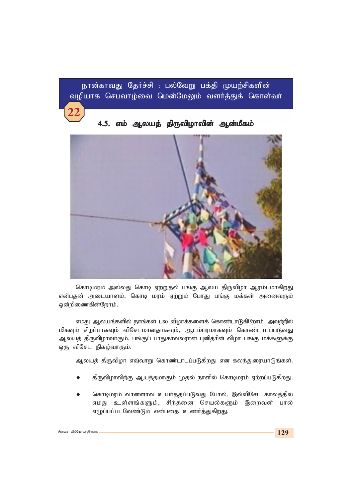நான்காவது தேர்ச்சி : பல்வேறு பக்தி முயற்சிகளின் வழியாக செபவாழ்வை மென்மேலும் வளர்த்துக் கொள்வர்

4.5. எம் ஆலயத் திருவிழாவின் ஆன்மீகம்

கொடிமரம் அல்லது கொடி ஏற்றுதல் பங்கு ஆலய திருவிழா ஆரம்பமாகிறது என்பதன் அடையாளம். கொடி மரம் ஏற்றும் போது பங்கு மக்கள் அனைவரும் ஒன்றிணைகின்றோம்.

*vkJ Myaq;fspy; ehq;fs; gy tpohf;fisf; nfhz;lhLfpNwhk;. mtw;wpy; மி*கவும் சிறப்பாகவும் விசேடமானதாகவும், ஆடம்பரமாகவும் கொண்டாடப்படுவது ஆலயத் திருவிழாவாகும். பங்குப் பாதுகாவலரான புனிதரின் விழா பங்கு மக்களுக்கு ஒரு விசேட நிகழ்வாகும்.

ஆலயத் திருவிழா எவ்வாறு கொண்டாடப்படுகிறது என கலந்துரையாடுங்கள்.

- திருவிழாவிற்கு ஆயத்தமாகும் முதல் நாளில் கொடிமரம் ஏற்றப்படுகிறது.
- கொடிமரம் வானளாவ உயர்த்தப்படுவது போல், இவ்விசேட காலத்தில் *vkJ cs;sq;fSk;> rpe;jid nray;fSk; ,iwtd; ghy;* எழுப்பப்படவேண்டும் என்பதை உணர்த்துகிறது.

**22**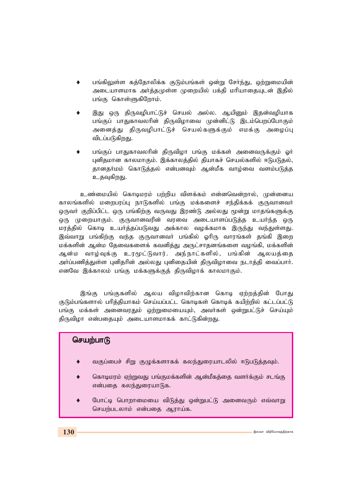- பங்கிலுள்ள கத்தோலிக்க குடும்பங்கள் ஒன்று சேர்ந்து, ஒற்றுமையின் அடையாளமாக அர்த்தமுள்ள முறையில் பக்தி மரியாதையுடன் இதில் பங்கு கொள்ளுகிறோம்.
- இது ஒரு திருவழிபாட்டுச் செயல் அல்ல. ஆயினும் இதன்வழியாக பங்குப் பாதுகாவலரின் திருவிழாவை முன்னிட்டு இடம்பெறப்போகும் அனைத்து திருவழிபாட்டுச் செயல்களுக்கும் எமக்கு அழைப்பு விடப்படுகிறது.
- பங்குப் பாதுகாவலரின் திருவிழா பங்கு மக்கள் அனைவருக்கும் ஓர் புனிதமான காலமாகும். இக்காலத்தில் தியாகச் செயல்களில் ஈடுபடுதல், தானதர்மம் கொடுத்தல் என்பனவும் ஆன்மீக வாழ்வை வளம்படுத்த உதவுகிறது.

*cz;ikapy; nfhbkuk; gw;wpa tpsf;fk; vd;dntd;why;> Kd;ida* காலங்களில் மறைபரப்பு நாடுகளில் பங்கு மக்களைச் சந்திக்கக் குருவானவர் ஒருவா் குறிப்பிட்ட ஒரு பங்கிற்கு வருவது இரண்டு அல்லது மூன்று மாதங்களுக்கு ஒரு முறையாகும். குருவானவரின் வரவை அடையாளப்படுத்த உயர்ந்த ஒரு மரத்தில் கொடி உயர்த்தப்படுவது அக்கால வழக்கமாக இருந்து வந்துள்ளது. இவ்வாறு பங்கிற்கு வந்த குருவானவா் பங்கில் ஓாிரு வாரங்கள் தங்கி இறை மக்களின் ஆன்ம தேவைகளைக் கவனித்து அருட்சாதனங்களை வழங்கி, மக்களின் ஆன்ம வாழ்வுக்கு உரமூட்டுவார். அந்நாட்களில், பங்கின் ஆலயத்தை அர்ப்பணித்துள்ள புனிதரின் அல்லது புனிதையின் திருவிழாவை நடாத்தி வைப்பார். எனவே இக்காலம் பங்கு மக்களுக்குத் திருவிழாக் காலமாகும்.

இங்கு பங்குகளில் ஆலய விழாவிற்கான கொடி ஏற்றத்தின் போது குடும்பங்களால் பரித்தியாகம் செய்யப்பட்ட கொடிகள் கொடிக் கயிற்றில் கட்டப்பட்டு பங்கு மக்கள் அனைவரதும் ஒற்றுமையையும், அவர்கள் ஒன்றுபட்டுச் செய்யும் திருவிழா என்பதையும் அடையாளமாகக் காட்டுகின்றது.

# செயற்பா**டு**

- வகுப்பைச் சிறு குழுக்களாகக் கலந்துரையாடலில் ஈடுபடுத்தவும்.
- கொடிமரம் ஏற்றுவது பங்குமக்களின் ஆன்மீகத்தை வளர்க்கும் சடங்கு என்பதை கலந்துரையாடுக.
- போட்டி பொறாமையை விடுத்து ஒன்றுபட்டு அனைவரும் எவ்வாறு செயற்படலாம் என்பதை ஆராய்க.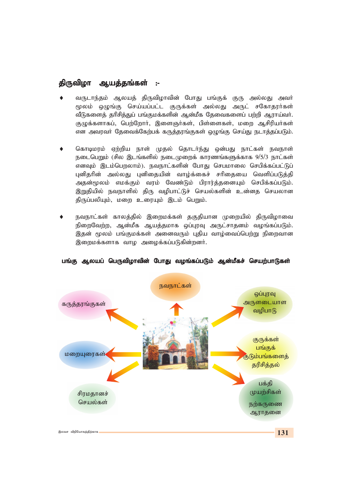## திருவிழா ஆயத்தங்கள் :-

- வருடாந்தம் ஆலயத் திருவிழாவின் போது பங்குக் குரு அல்லது அவர் மூலம் ஒழுங்கு செய்யப்பட்ட குருக்கள் அல்லது அருட் சகோதரர்கள் வீடுகளைத் தரிசித்துப் பங்குமக்களின் ஆன்மீக தேவைகளைப் பற்றி ஆராய்வா். குழுக்களாகப், பெற்றோர், இளைஞர்கள், பிள்ளைகள், மறை ஆசிரியர்கள் என அவரவா் தேவைக்கேற்பக் கருத்தரங்குகள் ஒழுங்கு செய்து நடாத்தப்படும்.
- கொடிமரம் ஏற்றிய நாள் முதல் தொடர்ந்து ஒன்பது நாட்கள் நவநாள் நடைபெறும் (சில இடங்களில் நடைமுறைக் காரணங்களுக்காக 9/5/3 நாட்கள் எனவம் இடம்பெறலாம்). நவநாட்களின் போகு செபமாலை செபிக்கப்பட்டுப் புனிதரின் அல்லது புனிதையின் வாழ்க்கைச் சரிதையை வெளிப்படுத்தி அதன்மூலம் எமக்கும் வரம் வேண்டும் பிரார்த்தனையும் செபிக்கப்படும். இறுதியில் நவநாளில் திரு வழிபாட்டுச் செயல்களின் உன்னத செயலான திருப்பலியும், மறை உரையும் இடம் பெறும்.
- நவநாட்கள் காலக்கில் இறைமக்கள் ககுகியான முறையில் கிருவிமாவை நிறைவேற்ற, ஆன்மீக ஆயத்தமாக ஒப்புரவு அருட்சாதனம் வழங்கப்படும். இதன் மூலம் பங்குமக்கள் அனைவரும் புதிய வாழ்வைப்பெற்று நிறைவான இறைமக்களாக வாழ அழைக்கப்படுகின்றனர்.



பங்கு ஆலயப் பெருவிழாவின் போது வழங்கப்படும் ஆன்மீகச் செயற்பாடுகள்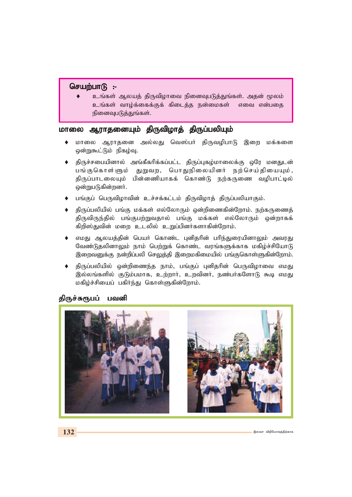#### செயற்பாடு :-

உங்கள் ஆலயத் திருவிழாவை நினைவுபடுத்துங்கள். அதன் மூலம் உங்கள் வாழ்க்கைக்குக் கிடைத்த நன்மைகள் எவை என்பதை நினைவுபடுத்துங்கள்.

# *khiy MuhjidAk; jpUtpohj; jpUg;gypAk; khiy jpUtpohj; jpUg;gypAk;*

- ♦ மாலை ஆராதனை அல்லது வெஸ்பர் திருவழிபாடு இறை மக்களை ஒன்றுகூட்டும் நிகழ்வு.
- திருச்சபையினால் அங்கீகரிக்கப்பட்ட திருப்புகழ்மாலைக்கு ஒரே மனதுடன் பங்குகொள்ளும் துறுவற, பொதுநிலையினர் நற்செய்தியையும், கிருப்பாடலையும் பின்னணியாகக் கொண்டு நற்கருணை வழிபாட்டில் ஒன்றுபடுகின்றனர்.
- பங்குப் பெருவிழாவின் உச்சக்கட்டம் திருவிழாத் திருப்பலியாகும்.
- திருப்பலியில் பங்கு மக்கள் எல்லோரும் ஒன்றிணைகின்றோம். நற்கருணைத் திருவிருந்தில் பங்குபற்றுவதால் பங்கு மக்கள் எல்லோரும் ஒன்றாகக் கிறிஸ்துவின் மறை உடலில் உறுப்பினர்களாகின்றோம்.
- எமது ஆலயத்தின் பெயர் கொண்ட புனிதரின் பரிந்துரையினாலும் அவரது வேண்டுதலினாலும் நாம் பெற்றுக் கொண்ட வரங்களுக்காக மகிழ்ச்சியோடு இறைவனுக்கு நன்றிப்பலி செலுத்தி இறைமகிமையில் பங்குகொள்ளுகின்றோம்.
- திருப்பலியில் ஒன்றிணைந்த நாம், பங்குப் புனிதரின் பெருவிழாவை எமது இல்லங்களில் குடும்பமாக, உற்றார், உறவினர், நண்பர்களோடு கூடி எமது *kfpo;r;rpiag; gfpHe;J nfhs;Sfpd;Nwhk;.*

#### திருச்சுரூபப் பவனி

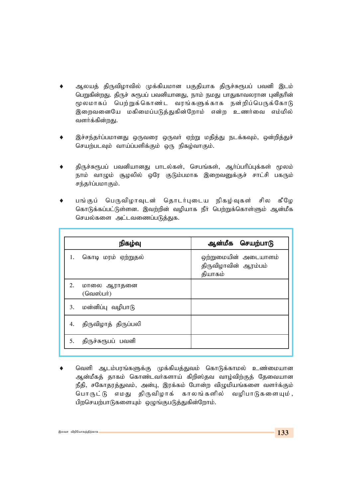- ஆலயத் திருவிழாவில் முக்கியமான பகுதியாக திருச்சுரூபப் பவனி இடம் பெறுகின்றது. திருச் சுரூபப் பவனியானது, நாம் நமது பாதுகாவலரான புனிதரின் மூலமாகப் பெற்றுக்கொண்ட வரங்களுக்காக நன்றிப்பெருக்கோடு இறைவனையே மகிமைப்படுத்துகின்றோம் என்ற உணர்வை எம்மில் வளர்க்கின்றது.
- இச்சந்தா்ப்பமானது ஒருவரை ஒருவா் ஏற்று மதித்து நடக்கவும், ஒன்றித்துச் செயற்படவும் வாய்ப்பளிக்கும் ஒரு நிகழ்வாகும்.
- திருச்சுரூபப் பவனியானது பாடல்கள், செபங்கள், ஆர்ப்பரிப்புக்கள் மூலம் நாம் வாழும் சூழலில் ஒரே குடும்பமாக இறைவனுக்குச் சாட்சி பகரும் சந்தர்ப்பமாகும்.
- பங்குப் பெருவிழாவுடன் தொடர்புடைய நிகழ்வுகள் சில கீழே கொடுக்கப்பட்டுள்ளன. இவற்றின் வழியாக நீா் பெற்றுக்கொள்ளும் ஆன்மீக செயல்களை அட்டவணைப்படுத்துக.

|    | நிகழ்வு                        | ஆன்மீக செயற்பாடு                                        |
|----|--------------------------------|---------------------------------------------------------|
| 1. | கொடி மரம் ஏற்றுதல்             | ஒற்றுமையின் அடையாளம்<br>திருவிழாவின் ஆரம்பம்<br>தியாகம் |
| 2. | மாலை ஆராதனை<br>$($ வெஸ்பர் $)$ |                                                         |
| 3. | மன்னிப்பு வழிபாடு              |                                                         |
| 4. | திருவிழாத் திருப்பலி           |                                                         |
| 5. | திருச்சுரூபப் பவனி             |                                                         |

வெளி ஆடம்பரங்களுக்கு முக்கியத்துவம் கொடுக்காமல் உண்மையான ஆன்மீகத் தாகம் கொண்டவா்களாய் கிறிஸ்தவ வாழ்விற்குத் தேவையான நீதி, சகோதரத்துவம், அன்பு, இரக்கம் போன்ற விழுமியங்களை வளர்க்கும் பொருட்டு எமது திருவிழாக் காலங்களில் வழிபாடுகளையும், பிறசெயற்பாடுகளையும் ஒழுங்குபடுத்துகின்றோம்.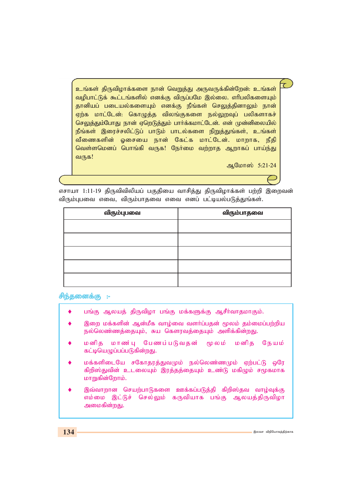<u>உங்கள் திருவிழாக்களை நான் வெறுத்து அருவருக்கின்றேன்: உங்கள்</u> வழிபாட்டுக் கூட்டங்களில் எனக்கு விருப்பமே இல்லை. எரிபலிகளையும் தானியப் படையல்களையும் எனக்கு நீங்கள் செலுத்தினாலும் நான் ஏற்க மாட்டேன்: கொழுத்த விலங்குகளை நல்லுறவுப் பலிகளாகச் செலுத்தும்போது நான் ஏறெடுத்தும் பார்க்கமாட்டேன். என் முன்னிலையில் நீங்கள் இரைச்சலிட்டுப் பாடும் பாடல்களை நிறுத்துங்கள், உங்கள் வீணைகளின் ஓசையை நான் கேட்க மாட்டேன். மாறாக, நீதி வெள்ளமெனப் பொங்கி வருக! நேர்மை வற்றாத ஆறாகப் பாய்ந்து வருக!

*MNkh]; 5:21-24*

எசாயா 1:11-19 திருவிவிலியப் பகுதியை வாசித்து திருவிழாக்கள் பற்றி இறைவன் விரும்புபவை எவை, விரும்பாதவை எவை எனப் பட்டியல்படுத்துங்கள்.

| விரும்புபவை | விரும்பாதவை |
|-------------|-------------|
|             |             |
|             |             |
|             |             |
|             |             |
|             |             |

சிந்தனைக்கு :-

- பங்கு ஆலயத் திருவிழா பங்கு மக்களுக்கு ஆசீர்வாதமாகும்.
- இறை மக்களின் ஆன்மீக வாழ்வை வளர்ப்பதன் மூலம் தம்மைப்பற்றிய நல்லெண்ணத்தையும், சுய கௌரவத்தையும் அளிக்கின்றது.
- மனித மாண்பு பேணப்படுவதன் மூலம் மனித நேயம் கட்டியெழுப்பப்படுகின்றது.
- மக்களிடையே சகோதரத்துவமும் நல்லெண்ணமும் ஏற்பட்டு ஒரே கிறிஸ்துவின் உடலையும் இரத்தத்தையும் உண்டு மகிழும் சமூகமாக *khWfpd;Nwhk;.*
- இவ்வாறான செயற்பாடுகளை ஊக்கப்படுத்தி கிறிஸ்தவ வாழ்வுக்கு எம்மை இட்டுச் செல்லும் கருவியாக பங்கு ஆலயத்திருவிழா அமைகின்றது.